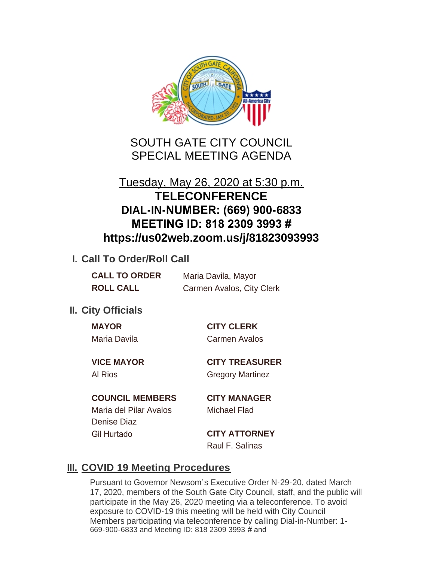

SOUTH GATE CITY COUNCIL SPECIAL MEETING AGENDA

# Tuesday, May 26, 2020 at 5:30 p.m. **TELECONFERENCE DIAL-IN-NUMBER: (669) 900-6833 MEETING ID: 818 2309 3993 # https://us02web.zoom.us/j/81823093993**

## **I. Call To Order/Roll Call**

| <b>CALL TO ORDER</b> | Maria Davila, Mayor       |
|----------------------|---------------------------|
| <b>ROLL CALL</b>     | Carmen Avalos, City Clerk |

# **II.** City Officials

Maria Davila Carmen Avalos

**MAYOR CITY CLERK**

**VICE MAYOR CITY TREASURER** Al Rios Gregory Martinez

## **COUNCIL MEMBERS CITY MANAGER**

Maria del Pilar Avalos Michael Flad Denise Diaz Gil Hurtado **CITY ATTORNEY**

Raul F. Salinas

# **III. COVID 19 Meeting Procedures**

Pursuant to Governor Newsom's Executive Order N-29-20, dated March 17, 2020, members of the South Gate City Council, staff, and the public will participate in the May 26, 2020 meeting via a teleconference. To avoid exposure to COVID-19 this meeting will be held with City Council Members participating via teleconference by calling Dial-in-Number: 1- 669-900-6833 and Meeting ID: 818 2309 3993 # and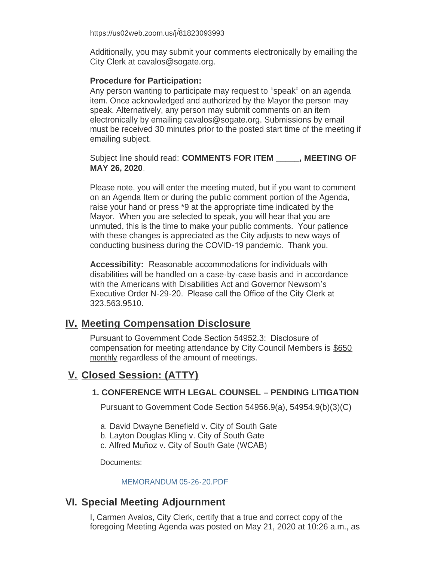669-900-6833 and Meeting ID: 818 2309 3993 # and https://us02web.zoom.us/j/81823093993

Additionally, you may submit your comments electronically by emailing the City Clerk at cavalos@sogate.org.

#### **Procedure for Participation:**

Any person wanting to participate may request to "speak" on an agenda item. Once acknowledged and authorized by the Mayor the person may speak. Alternatively, any person may submit comments on an item electronically by emailing cavalos@sogate.org. Submissions by email must be received 30 minutes prior to the posted start time of the meeting if emailing subject.

Subject line should read: **COMMENTS FOR ITEM \_\_\_\_\_, MEETING OF MAY 26, 2020**.

Please note, you will enter the meeting muted, but if you want to comment on an Agenda Item or during the public comment portion of the Agenda, raise your hand or press \*9 at the appropriate time indicated by the Mayor. When you are selected to speak, you will hear that you are unmuted, this is the time to make your public comments. Your patience with these changes is appreciated as the City adjusts to new ways of conducting business during the COVID-19 pandemic. Thank you.

**Accessibility:** Reasonable accommodations for individuals with disabilities will be handled on a case-by-case basis and in accordance with the Americans with Disabilities Act and Governor Newsom's Executive Order N-29-20. Please call the Office of the City Clerk at 323.563.9510.

## **Meeting Compensation Disclosure IV.**

Pursuant to Government Code Section 54952.3: Disclosure of compensation for meeting attendance by City Council Members is \$650 monthly regardless of the amount of meetings.

# **Closed Session: (ATTY) V.**

### **1. CONFERENCE WITH LEGAL COUNSEL – PENDING LITIGATION**

Pursuant to Government Code Section 54956.9(a), 54954.9(b)(3)(C)

- a. David Dwayne Benefield v. City of South Gate
- b. Layton Douglas Kling v. City of South Gate
- c. Alfred Muñoz v. City of South Gate (WCAB)

Documents:

#### MEMORANDUM 05-26-20.PDF

## **Special Meeting Adjournment VI.**

I, Carmen Avalos, City Clerk, certify that a true and correct copy of the foregoing Meeting Agenda was posted on May 21, 2020 at 10:26 a.m., as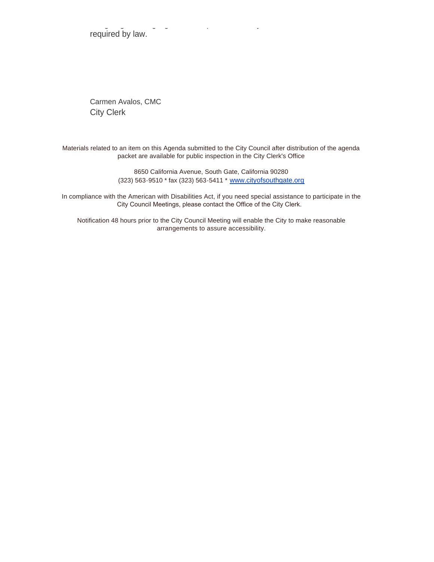foregoing Meeting Agenda was posted on May 21, 2020 at 10:26 a.m., as required by law.

Carmen Avalos, CMC City Clerk

Materials related to an item on this Agenda submitted to the City Council after distribution of the agenda packet are available for public inspection in the City Clerk's Office

> 8650 California Avenue, South Gate, California 90280 (323) 563-9510 \* fax (323) 563-5411 \* [www.cityofsouthgate.org](http://www.cityofsouthgate.org/)

In compliance with the American with Disabilities Act, if you need special assistance to participate in the City Council Meetings, please contact the Office of the City Clerk.

Notification 48 hours prior to the City Council Meeting will enable the City to make reasonable arrangements to assure accessibility.